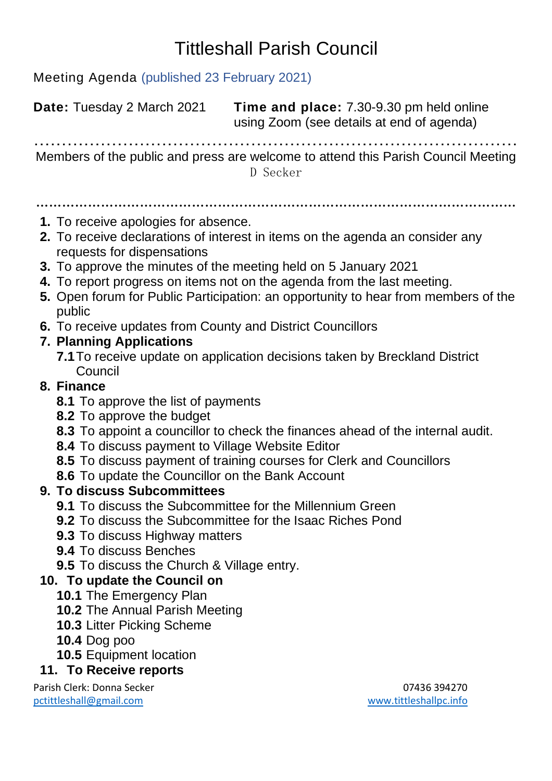## Tittleshall Parish Council

Meeting Agenda (published 23 February 2021)

**Date:** Tuesday 2 March 2021 **Time and place:** 7.30-9.30 pm held online using Zoom (see details at end of agenda) …………………………………………………………………………… Members of the public and press are welcome to attend this Parish Council Meeting D Secker ………………………………………………………………………………………………… **1.** To receive apologies for absence. **2.** To receive declarations of interest in items on the agenda an consider any requests for dispensations **3.** To approve the minutes of the meeting held on 5 January 2021 **4.** To report progress on items not on the agenda from the last meeting. **5.** Open forum for Public Participation: an opportunity to hear from members of the public **6.** To receive updates from County and District Councillors **7. Planning Applications 7.1**To receive update on application decisions taken by Breckland District Council **8. Finance 8.1** To approve the list of payments **8.2** To approve the budget **8.3** To appoint a councillor to check the finances ahead of the internal audit. **8.4** To discuss payment to Village Website Editor **8.5** To discuss payment of training courses for Clerk and Councillors **8.6** To update the Councillor on the Bank Account **9. To discuss Subcommittees 9.1** To discuss the Subcommittee for the Millennium Green **9.2** To discuss the Subcommittee for the Isaac Riches Pond **9.3** To discuss Highway matters **9.4** To discuss Benches **9.5** To discuss the Church & Village entry. **10. To update the Council on 10.1** The Emergency Plan **10.2** The Annual Parish Meeting

- **10.3** Litter Picking Scheme
- **10.4** Dog poo
- **10.5** Equipment location

## **11. To Receive reports**

Parish Clerk: Donna Secker 07436 394270 [pctittleshall@gmail.com](mailto:pctittleshall@gmail.com) [www.tittleshallpc.info](http://www.tittleshallpc.info/)